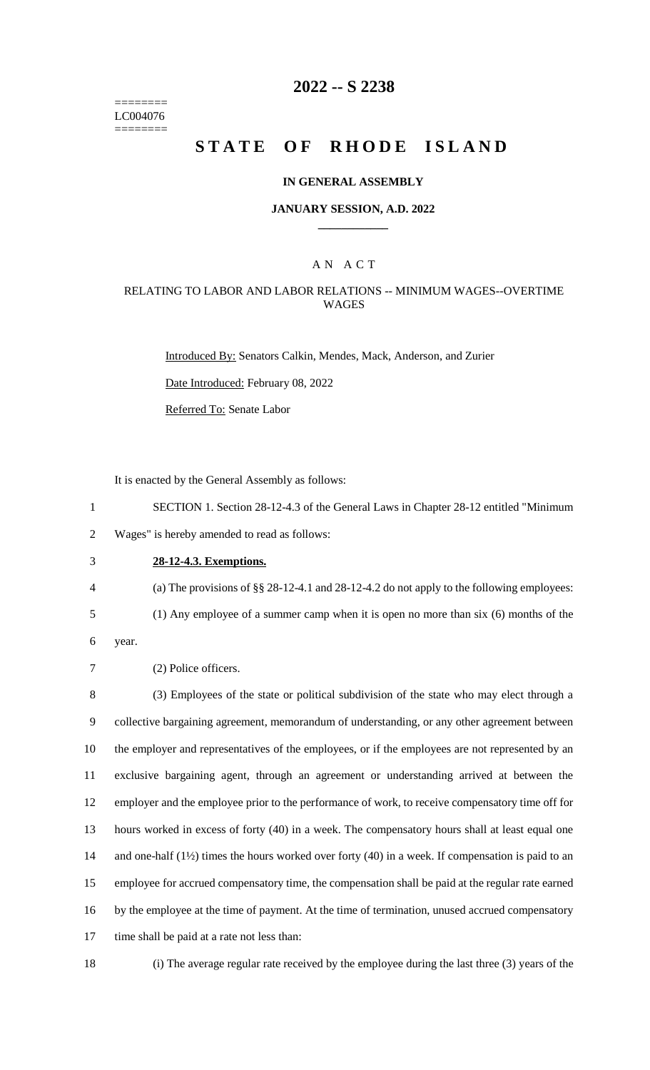======== LC004076 ========

# **2022 -- S 2238**

# **STATE OF RHODE ISLAND**

### **IN GENERAL ASSEMBLY**

### **JANUARY SESSION, A.D. 2022 \_\_\_\_\_\_\_\_\_\_\_\_**

### A N A C T

### RELATING TO LABOR AND LABOR RELATIONS -- MINIMUM WAGES--OVERTIME WAGES

Introduced By: Senators Calkin, Mendes, Mack, Anderson, and Zurier

Date Introduced: February 08, 2022

Referred To: Senate Labor

It is enacted by the General Assembly as follows:

1 SECTION 1. Section 28-12-4.3 of the General Laws in Chapter 28-12 entitled "Minimum 2 Wages" is hereby amended to read as follows:

3 **28-12-4.3. Exemptions.**

4 (a) The provisions of §§ 28-12-4.1 and 28-12-4.2 do not apply to the following employees:

5 (1) Any employee of a summer camp when it is open no more than six (6) months of the

6 year.

7 (2) Police officers.

 (3) Employees of the state or political subdivision of the state who may elect through a collective bargaining agreement, memorandum of understanding, or any other agreement between the employer and representatives of the employees, or if the employees are not represented by an exclusive bargaining agent, through an agreement or understanding arrived at between the employer and the employee prior to the performance of work, to receive compensatory time off for hours worked in excess of forty (40) in a week. The compensatory hours shall at least equal one 14 and one-half (1<sup>1/2</sup>) times the hours worked over forty (40) in a week. If compensation is paid to an employee for accrued compensatory time, the compensation shall be paid at the regular rate earned by the employee at the time of payment. At the time of termination, unused accrued compensatory time shall be paid at a rate not less than:

18 (i) The average regular rate received by the employee during the last three (3) years of the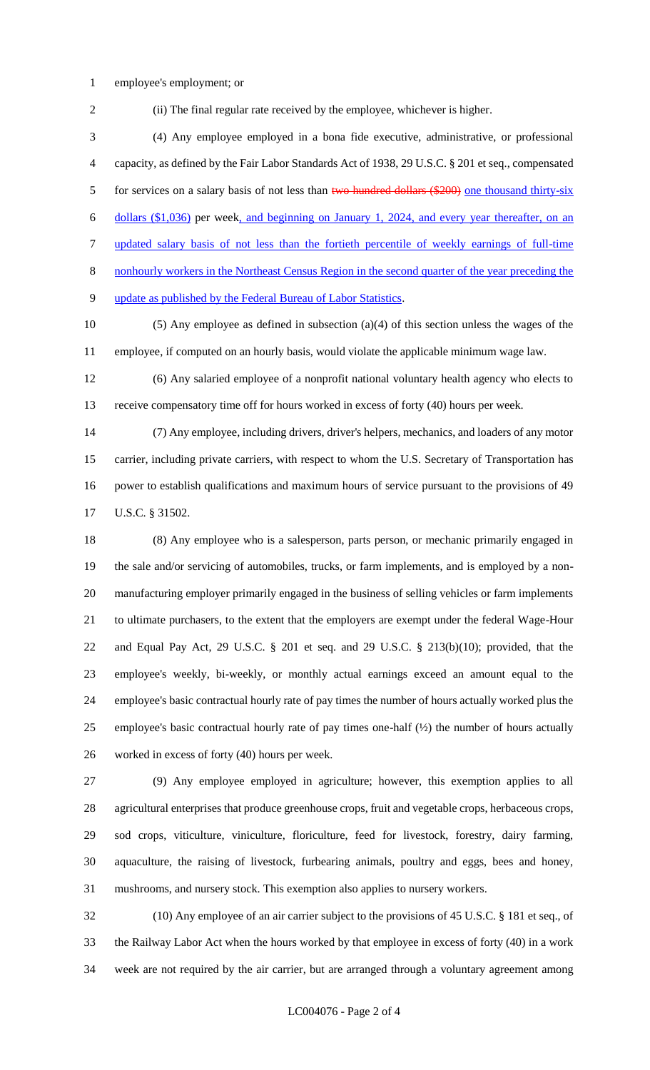- employee's employment; or
- (ii) The final regular rate received by the employee, whichever is higher. (4) Any employee employed in a bona fide executive, administrative, or professional capacity, as defined by the Fair Labor Standards Act of 1938, 29 U.S.C. § 201 et seq., compensated

5 for services on a salary basis of not less than two hundred dollars (\$200) one thousand thirty-six dollars (\$1,036) per week, and beginning on January 1, 2024, and every year thereafter, on an updated salary basis of not less than the fortieth percentile of weekly earnings of full-time

nonhourly workers in the Northeast Census Region in the second quarter of the year preceding the

update as published by the Federal Bureau of Labor Statistics.

 (5) Any employee as defined in subsection (a)(4) of this section unless the wages of the employee, if computed on an hourly basis, would violate the applicable minimum wage law.

 (6) Any salaried employee of a nonprofit national voluntary health agency who elects to receive compensatory time off for hours worked in excess of forty (40) hours per week.

 (7) Any employee, including drivers, driver's helpers, mechanics, and loaders of any motor carrier, including private carriers, with respect to whom the U.S. Secretary of Transportation has power to establish qualifications and maximum hours of service pursuant to the provisions of 49 U.S.C. § 31502.

 (8) Any employee who is a salesperson, parts person, or mechanic primarily engaged in the sale and/or servicing of automobiles, trucks, or farm implements, and is employed by a non- manufacturing employer primarily engaged in the business of selling vehicles or farm implements to ultimate purchasers, to the extent that the employers are exempt under the federal Wage-Hour and Equal Pay Act, 29 U.S.C. § 201 et seq. and 29 U.S.C. § 213(b)(10); provided, that the employee's weekly, bi-weekly, or monthly actual earnings exceed an amount equal to the employee's basic contractual hourly rate of pay times the number of hours actually worked plus the 25 employee's basic contractual hourly rate of pay times one-half  $(\frac{1}{2})$  the number of hours actually worked in excess of forty (40) hours per week.

 (9) Any employee employed in agriculture; however, this exemption applies to all agricultural enterprises that produce greenhouse crops, fruit and vegetable crops, herbaceous crops, sod crops, viticulture, viniculture, floriculture, feed for livestock, forestry, dairy farming, aquaculture, the raising of livestock, furbearing animals, poultry and eggs, bees and honey, mushrooms, and nursery stock. This exemption also applies to nursery workers.

 (10) Any employee of an air carrier subject to the provisions of 45 U.S.C. § 181 et seq., of the Railway Labor Act when the hours worked by that employee in excess of forty (40) in a work week are not required by the air carrier, but are arranged through a voluntary agreement among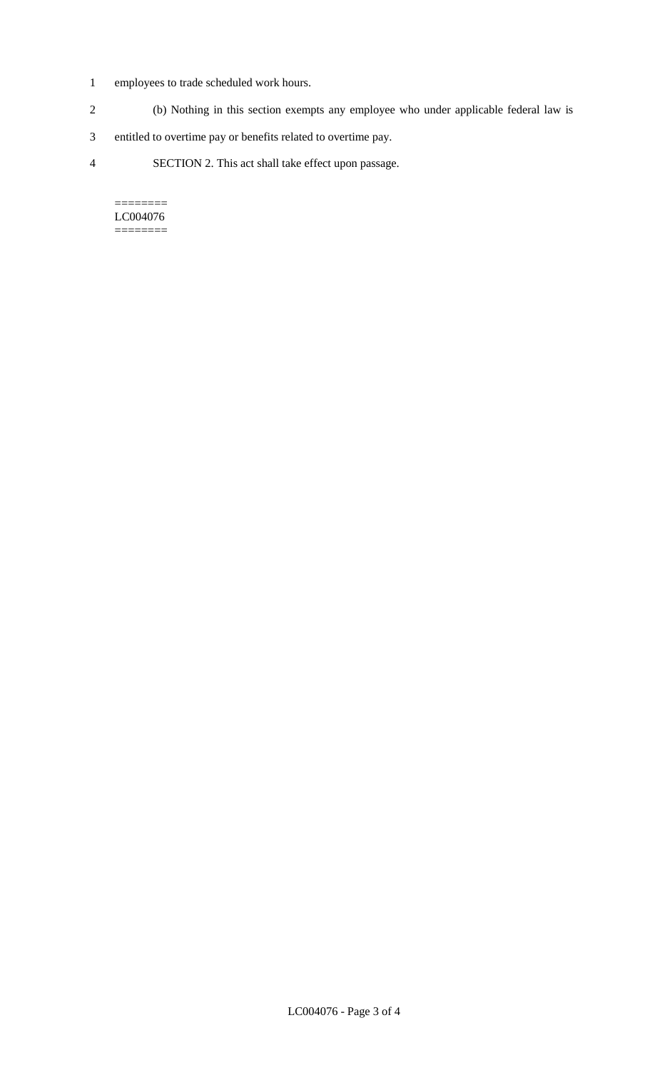- 1 employees to trade scheduled work hours.
- 2 (b) Nothing in this section exempts any employee who under applicable federal law is
- 3 entitled to overtime pay or benefits related to overtime pay.
- 4 SECTION 2. This act shall take effect upon passage.

======== LC004076  $=$